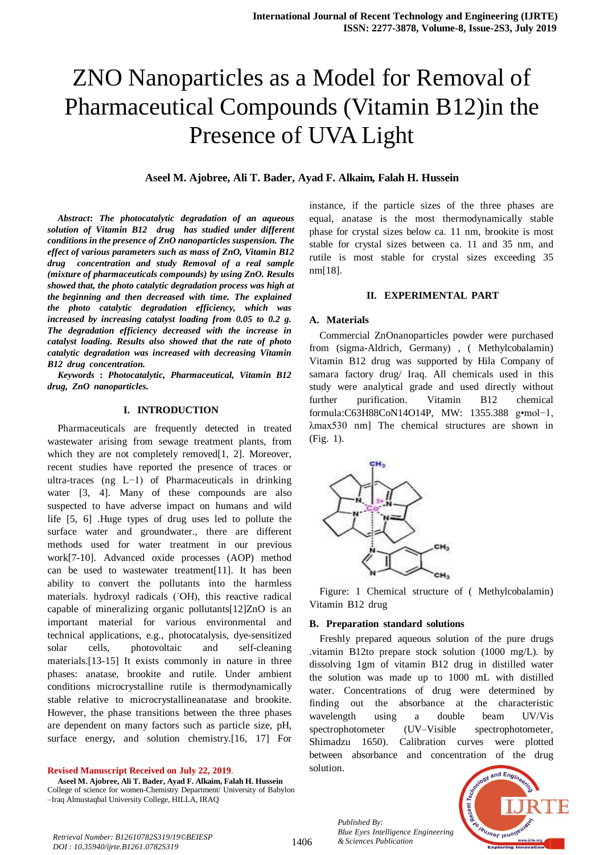# ZNO Nanoparticles as a Model for Removal of Pharmaceutical Compounds (Vitamin B12)in the Presence of UVA Light

# **Aseel M. Ajobree, Ali T. Bader, Ayad F. Alkaim, Falah H. Hussein**

*Abstract***:** *The photocatalytic degradation of an aqueous solution of Vitamin B12 drug has studied under different conditions in the presence of ZnO nanoparticles suspension. The effect of various parameters such as mass of ZnO, Vitamin B12 drug concentration and study Removal of a real sample (mixture of pharmaceuticals compounds) by using ZnO. Results showed that, the photo catalytic degradation process was high at the beginning and then decreased with time. The explained the* photo catalytic degradation efficiency, which was  $i$ *ncreased by increasing catalyst loading from* 0.05 *to* 0.2 *g. The degradation efficiency decreased with the increase in catalyst loading.* Results also showed that the rate of photo *catalytic degradation* was *increased* with *decreasing* Vitamin *B12 drug concentration.* 

*KeywordsT* **:T** *Photocatalytic,T Pharmaceutical,T VitaminT B12<sup>T</sup>*  $drug, ZnO$  *nanoparticles.* 

#### **I. INTRODUCTION**

Pharmaceuticals are frequently detected in treated wastewater arising from sewage treatment plants, from which they are not completely removed[1, 2]. Moreover, recent studies have reported the presence of traces or ultra-traces (ng L−1) of Pharmaceuticals in drinking water  $[3, 4]$ . Many of these compounds are also suspected to have adverse impact on humans and wild life  $[5, 6]$ . Huge types of drug uses led to pollute the surface water and groundwater., there are different methods used for water treatment in our previous work[7-10]. Advanced oxide processes (AOP) method can be used to wastewater treatment[11]. It has been ability to convert the pollutants into the harmless materials. hydroxyl radicals (`OH), this reactive radical capable of mineralizing organic pollutants $[12]ZnO$  is an important material for various environmental and technical applications, e.g., photocatalysis, dye-sensitized solar cells, photovoltaic and self-cleaning materials.[13-15] It exists commonly in nature in three phases: anatase, brookite and rutile. Under ambient conditions microcrystalline rutile is thermodynamically stable relative to microcrystallineanatase and brookite. However, the phase transitions between the three phases are dependent on many factors such as particle size, pH, surface energy, and solution chemistry.[16, 17] For

#### **Revised Manuscript Received on July 22, 2019**.

**Aseel M. Ajobree, Ali T. Bader, Ayad F. Alkaim, Falah H. Hussein** College of science for women-Chemistry Department/ University of Babylon –Iraq Almustaqbal University College, HILLA, IRAQ

instance, if the particle sizes of the three phases are equal, anatase is the most thermodynamically stable phase for crystal sizes below ca. 11 nm, brookite is most stable for crystal sizes between ca. 11 and 35 nm, and rutile is most stable for crystal sizes exceeding 35 nm[18].

#### **II. EXPERIMENTAL PART**

# **A. Materials**

Commercial ZnOnanoparticles powder were purchased from (sigma-Aldrich, Germany), (Methylcobalamin) Vitamin B12 drug was supported by Hila Company of samara factory drug/ Iraq. All chemicals used in this study were analytical grade and used directly without further purification. Vitamin B12 chemical formula:C63H88CoN14O14P, MW: 1355.388 g•mol-1,  $\lambda$ max530 nm] The chemical structures are shown in  $(Fig. 1)$ .



Figure: 1 Chemical structure of (Methylcobalamin) Vitamin B12 drug

#### **B.** Preparation standard solutions

Freshly prepared aqueous solution of the pure drugs .vitamin B12to prepare stock solution (1000 mg/L). by dissolving 1gm of vitamin B12 drug in distilled water the solution was made up to 1000 mL with distilled water. Concentrations of drug were determined by finding out the absorbance at the characteristic wavelength using a double beam UV/Vis spectrophotometer (UV–Visible spectrophotometer, Shimadzu 1650). Calibration curves were plotted between absorbance and concentration of the drug solution.



*Published By: Blue Eyes Intelligence Engineering*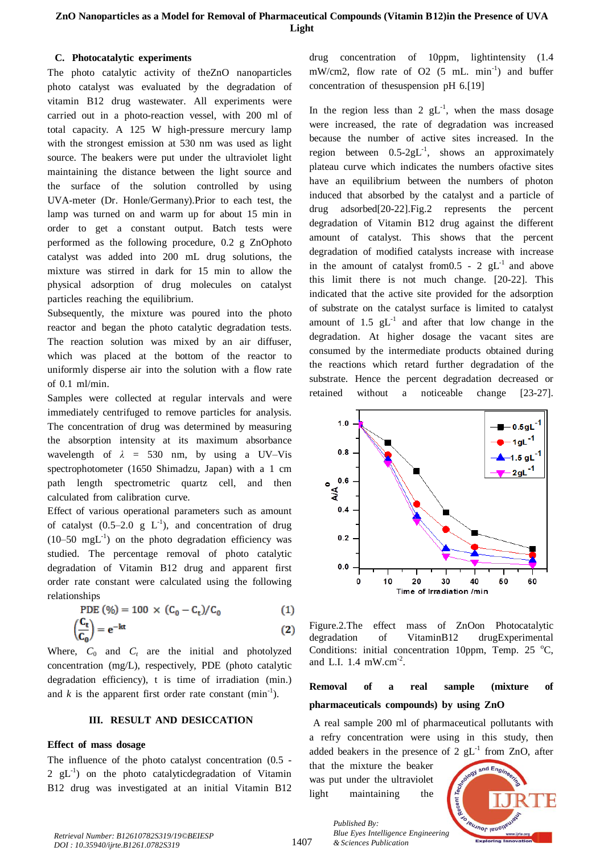# **C. Photocatalytic experiments**

The photo catalytic activity of theZnO nanoparticles photo catalyst was evaluated by the degradation of vitamin B12 drug wastewater. All experiments were carried out in a photo-reaction vessel, with 200 ml of total capacity. A  $125$  W high-pressure mercury lamp with the strongest emission at 530 nm was used as light source. The beakers were put under the ultraviolet light maintaining the distance between the light source and the surface of the solution controlled by using UVA-meter (Dr. Honle/Germany).Prior to each test, the lamp was turned on and warm up for about 15 min in order to get a constant output. Batch tests were performed as the following procedure,  $0.2$  g ZnOphoto catalyst was added into 200 mL drug solutions, the mixture was stirred in dark for 15 min to allow the physical adsorption of drug molecules on catalyst particles reaching the equilibrium.

Subsequently, the mixture was poured into the photo reactor and began the photo catalytic degradation tests. The reaction solution was mixed by an air diffuser, which was placed at the bottom of the reactor to uniformly disperse air into the solution with a flow rate of  $0.1$  ml/min.

Samples were collected at regular intervals and were immediately centrifuged to remove particles for analysis. The concentration of drug was determined by measuring the absorption intensity at its maximum absorbance wavelength of  $\lambda$  = 530 nm, by using a UV–Vis spectrophotometer (1650 Shimadzu, Japan) with a 1 cm path length spectrometric quartz cell, and then calculated from calibration curve.

Effect of various operational parameters such as amount of catalyst  $(0.5-2.0 \text{ g L}^{-1})$ , and concentration of drug  $(10-50 \text{ mgL}^{-1})$  on the photo degradation efficiency was studied. The percentage removal of photo catalytic degradation of Vitamin B12 drug and apparent first order rate constant were calculated using the following relationships

PDE 
$$
(\%) = 100 \times (C_0 - C_t)/C_0
$$
 (1)

$$
\left(\frac{C_t}{C_0}\right) = e^{-kt} \tag{2}
$$

Where,  $C_0$  and  $C_t$  are the initial and photolyzed concentration (mg/L), respectively, PDE (photo catalytic degradation efficiency),  $t$  is time of irradiation (min.) and *k* is the apparent first order rate constant (min<sup>-1</sup>).

## **III. RESULT** AND **DESICCATION**

# **Effect** of mass dosage

The influence of the photo catalyst concentration  $(0.5 -$ 2  $gL^{-1}$ ) on the photo catalyticdegradation of Vitamin B12 drug was investigated at an initial Vitamin B12

drug concentration of 10ppm, lightintensity  $(1.4$ mW/cm2, flow rate of O2 (5 mL.  $min^{-1}$ ) and buffer concentration of thesuspension pH  $6.[19]$ 

In the region less than 2  $gL^{-1}$ , when the mass dosage were increased, the rate of degradation was increased because the number of active sites increased. In the region between  $0.5\text{-}2gL^{-1}$ , shows an approximately plateau curve which indicates the numbers ofactive sites have an equilibrium between the numbers of photon induced that absorbed by the catalyst and a particle of drug adsorbed $[20-22]$ . Fig.2 represents the percent degradation of Vitamin B12 drug against the different amount of catalyst. This shows that the percent degradation of modified catalysts increase with increase in the amount of catalyst from  $0.5$  - 2 gL<sup>-1</sup> and above this limit there is not much change.  $[20-22]$ . This indicated that the active site provided for the adsorption of substrate on the catalyst surface is limited to catalyst amount of 1.5  $gL^{-1}$  and after that low change in the degradation. At higher dosage the vacant sites are consumed by the intermediate products obtained during the reactions which retard further degradation of the substrate. Hence the percent degradation decreased or retained without a noticeable change [23-27].



Figure.2.The effect mass of ZnOon Photocatalytic degradation of VitaminB12 drugExperimental Conditions: initial concentration 10ppm, Temp. 25  $^{\circ}$ C, and L.I.  $1.4 \text{ mW.cm}^{-2}$ .

# **Removal** of **a real sample** (mixture of **pharmaceuticals** compounds) by using  $ZnO$

A real sample 200 ml of pharmaceutical pollutants with a refry concentration were using in this study, then added beakers in the presence of 2  $gL^{-1}$  from ZnO, after

that the mixture the beaker was put under the ultraviolet light maintaining the

*& Sciences Publication* 

*Published By:*

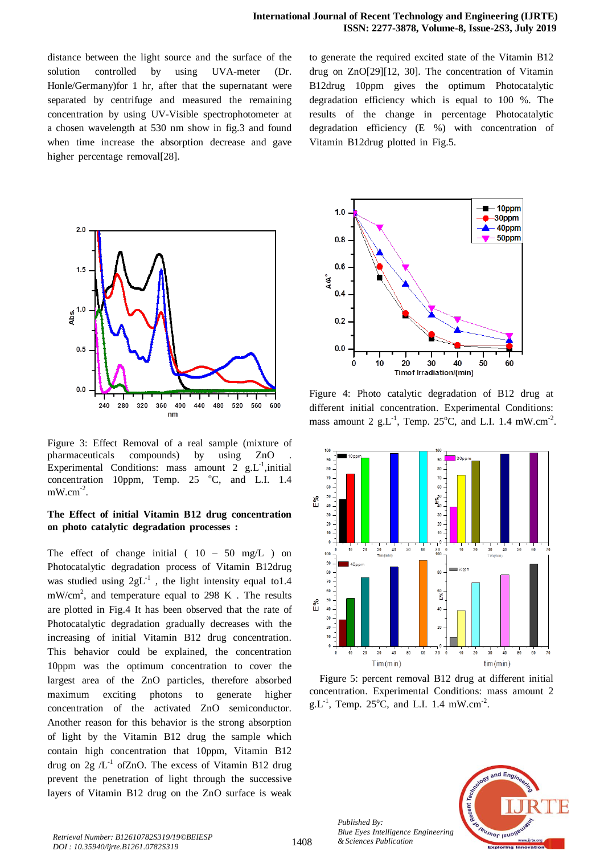distance between the light source and the surface of the solution controlled by using UVA-meter (Dr. Honle/Germany)for 1 hr, after that the supernatant were separated by centrifuge and measured the remaining concentration by using UV-Visible spectrophotometer at a chosen wavelength at 530 nm show in fig.3 and found when time increase the absorption decrease and gave higher percentage removal[28].

to generate the required excited state of the Vitamin B12 drug on ZnO $[29]$ [12, 30]. The concentration of Vitamin B12drug 10ppm gives the optimum Photocatalytic degradation efficiency which is equal to  $100\%$ . The results of the change in percentage Photocatalytic degradation efficiency  $(E \%)$  with concentration of Vitamin B12drug plotted in Fig.5.



Figure 3: Effect Removal of a real sample (mixture of pharmaceuticals compounds) by using ZnO Experimental Conditions: mass amount 2  $g.L^{-1}$ , initial concentration 10ppm, Temp.  $25^\circ\text{C}$ , and L.I. 1.4  $mW.cm^{-2}$ .

# The Effect of initial Vitamin B12 drug concentration **on** photo catalytic degradation processes :

The effect of change initial ( $10 - 50$  mg/L) on Photocatalytic degradation process of Vitamin B12drug was studied using  $2gL^{-1}$ , the light intensity equal to1.4  $mW/cm<sup>2</sup>$ , and temperature equal to 298 K. The results are plotted in Fig.4 It has been observed that the rate of Photocatalytic degradation gradually decreases with the increasing of initial Vitamin B12 drug concentration. This behavior could be explained, the concentration  $10$ ppm was the optimum concentration to cover the largest area of the ZnO particles, therefore absorbed maximum exciting photons to generate higher concentration of the activated ZnO semiconductor. Another reason for this behavior is the strong absorption of light by the Vitamin B12 drug the sample which contain high concentration that 10ppm, Vitamin B12 drug on 2g  $/L^{-1}$  ofZnO. The excess of Vitamin B12 drug prevent the penetration of light through the successive layers of Vitamin B12 drug on the ZnO surface is weak



Figure 4: Photo catalytic degradation of B12 drug at different initial concentration. Experimental Conditions: mass amount 2 g.L<sup>-1</sup>, Temp. 25°C, and L.I. 1.4 mW.cm<sup>-2</sup>.



Figure 5: percent removal B12 drug at different initial concentration. Experimental Conditions: mass amount 2  $g.L^{-1}$ , Temp. 25°C, and L.I. 1.4 mW.cm<sup>-2</sup>.



*Published By:*